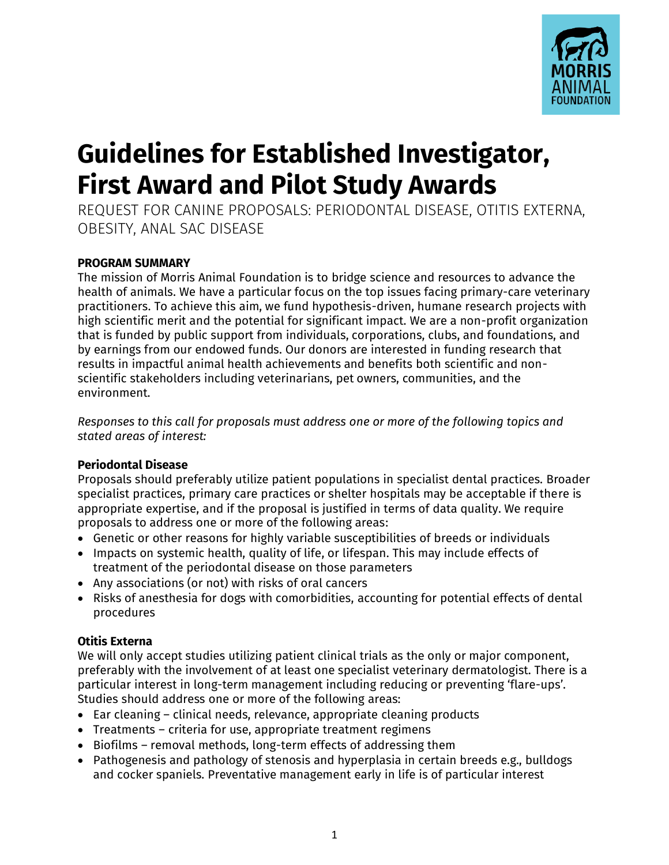

# **Guidelines for Established Investigator, First Award and Pilot Study Awards**

REQUEST FOR CANINE PROPOSALS: PERIODONTAL DISEASE, OTITIS EXTERNA, OBESITY, ANAL SAC DISEASE

# **PROGRAM SUMMARY**

The mission of Morris Animal Foundation is to bridge science and resources to advance the health of animals. We have a particular focus on the top issues facing primary-care veterinary practitioners. To achieve this aim, we fund hypothesis-driven, humane research projects with high scientific merit and the potential for significant impact. We are a non-profit organization that is funded by public support from individuals, corporations, clubs, and foundations, and by earnings from our endowed funds. Our donors are interested in funding research that results in impactful animal health achievements and benefits both scientific and nonscientific stakeholders including veterinarians, pet owners, communities, and the environment.

*Responses to this call for proposals must address one or more of the following topics and stated areas of interest:*

# **Periodontal Disease**

Proposals should preferably utilize patient populations in specialist dental practices. Broader specialist practices, primary care practices or shelter hospitals may be acceptable if there is appropriate expertise, and if the proposal is justified in terms of data quality. We require proposals to address one or more of the following areas:

- Genetic or other reasons for highly variable susceptibilities of breeds or individuals
- Impacts on systemic health, quality of life, or lifespan. This may include effects of treatment of the periodontal disease on those parameters
- Any associations (or not) with risks of oral cancers
- Risks of anesthesia for dogs with comorbidities, accounting for potential effects of dental procedures

# **Otitis Externa**

We will only accept studies utilizing patient clinical trials as the only or major component, preferably with the involvement of at least one specialist veterinary dermatologist. There is a particular interest in long-term management including reducing or preventing 'flare-ups'. Studies should address one or more of the following areas:

- Ear cleaning clinical needs, relevance, appropriate cleaning products
- Treatments criteria for use, appropriate treatment regimens
- Biofilms removal methods, long-term effects of addressing them
- Pathogenesis and pathology of stenosis and hyperplasia in certain breeds e.g., bulldogs and cocker spaniels. Preventative management early in life is of particular interest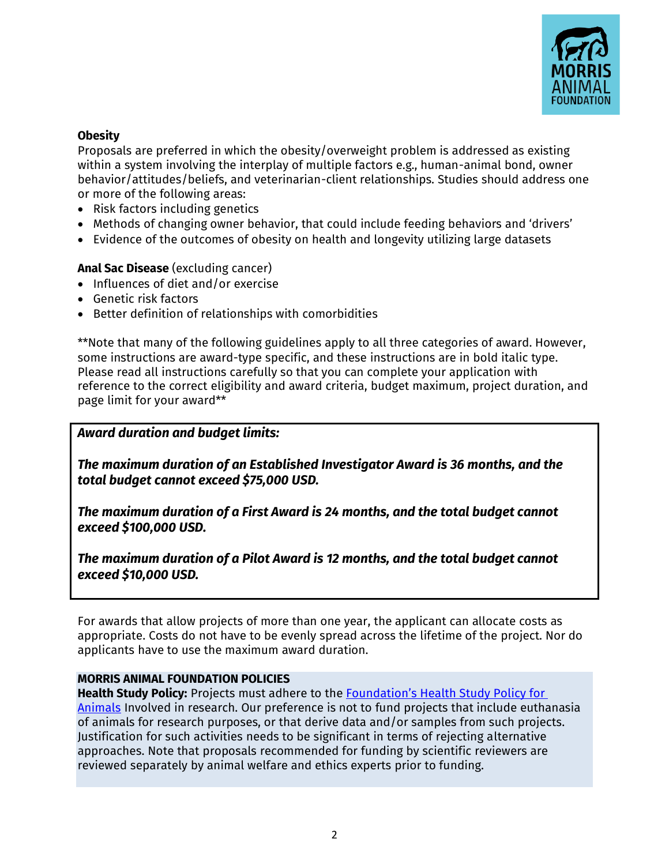

# **Obesity**

Proposals are preferred in which the obesity/overweight problem is addressed as existing within a system involving the interplay of multiple factors e.g., human-animal bond, owner behavior/attitudes/beliefs, and veterinarian-client relationships. Studies should address one or more of the following areas:

- Risk factors including genetics
- Methods of changing owner behavior, that could include feeding behaviors and 'drivers'
- Evidence of the outcomes of obesity on health and longevity utilizing large datasets

## **Anal Sac Disease** (excluding cancer)

- Influences of diet and/or exercise
- Genetic risk factors
- Better definition of relationships with comorbidities

\*\*Note that many of the following guidelines apply to all three categories of award. However, some instructions are award-type specific, and these instructions are in bold italic type. Please read all instructions carefully so that you can complete your application with reference to the correct eligibility and award criteria, budget maximum, project duration, and page limit for your award\*\*

#### *Award duration and budget limits:*

*The maximum duration of an Established Investigator Award is 36 months, and the total budget cannot exceed \$75,000 USD.*

*The maximum duration of a First Award is 24 months, and the total budget cannot exceed \$100,000 USD.*

*The maximum duration of a Pilot Award is 12 months, and the total budget cannot exceed \$10,000 USD.*

For awards that allow projects of more than one year, the applicant can allocate costs as appropriate. Costs do not have to be evenly spread across the lifetime of the project. Nor do applicants have to use the maximum award duration.

#### **MORRIS ANIMAL FOUNDATION POLICIES**

**Health Study Policy:** Projects must adhere to the [Foundation's Health Study Policy for](https://www.morrisanimalfoundation.org/sites/default/files/filesync/Health-Study-Policy.pdf)  [Animals](chrome-extension://efaidnbmnnnibpcajpcglclefindmkaj/viewer.html?pdfurl=https%3A%2F%2Fwww.morrisanimalfoundation.org%2Fsites%2Fdefault%2Ffiles%2Ffilesync%2FHealth-Study-Policy.pdf&clen=70644&chunk=true) Involved in research. Our preference is not to fund projects that include euthanasia of animals for research purposes, or that derive data and/or samples from such projects. Justification for such activities needs to be significant in terms of rejecting alternative approaches. Note that proposals recommended for funding by scientific reviewers are reviewed separately by animal welfare and ethics experts prior to funding.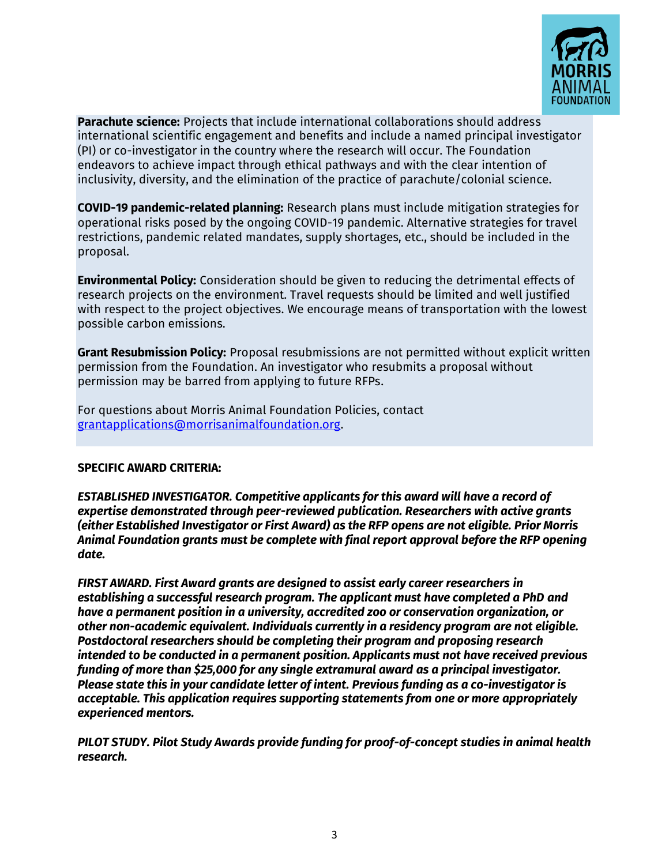

**Parachute science:** Projects that include international collaborations should address international scientific engagement and benefits and include a named principal investigator (PI) or co-investigator in the country where the research will occur. The Foundation endeavors to achieve impact through ethical pathways and with the clear intention of inclusivity, diversity, and the elimination of the practice of parachute/colonial science.

**COVID-19 pandemic-related planning:** Research plans must include mitigation strategies for operational risks posed by the ongoing COVID-19 pandemic. Alternative strategies for travel restrictions, pandemic related mandates, supply shortages, etc., should be included in the proposal.

**Environmental Policy:** Consideration should be given to reducing the detrimental effects of research projects on the environment. Travel requests should be limited and well justified with respect to the project objectives. We encourage means of transportation with the lowest possible carbon emissions.

**Grant Resubmission Policy:** Proposal resubmissions are not permitted without explicit written permission from the Foundation. An investigator who resubmits a proposal without permission may be barred from applying to future RFPs.

For questions about Morris Animal Foundation Policies, contact [grantapplications@morrisanimalfoundation.org.](mailto:grantapplications@morrisanimalfoundation.org)

#### **SPECIFIC AWARD CRITERIA:**

*ESTABLISHED INVESTIGATOR. Competitive applicants for this award will have a record of expertise demonstrated through peer-reviewed publication. Researchers with active grants (either Established Investigator or First Award) as the RFP opens are not eligible. Prior Morris Animal Foundation grants must be complete with final report approval before the RFP opening date.* 

*FIRST AWARD. First Award grants are designed to assist early career researchers in establishing a successful research program. The applicant must have completed a PhD and have a permanent position in a university, accredited zoo or conservation organization, or other non-academic equivalent. Individuals currently in a residency program are not eligible. Postdoctoral researchers should be completing their program and proposing research intended to be conducted in a permanent position. Applicants must not have received previous funding of more than \$25,000 for any single extramural award as a principal investigator. Please state this in your candidate letter of intent. Previous funding as a co-investigator is acceptable. This application requires supporting statements from one or more appropriately experienced mentors.*

*PILOT STUDY. Pilot Study Awards provide funding for proof-of-concept studies in animal health research.*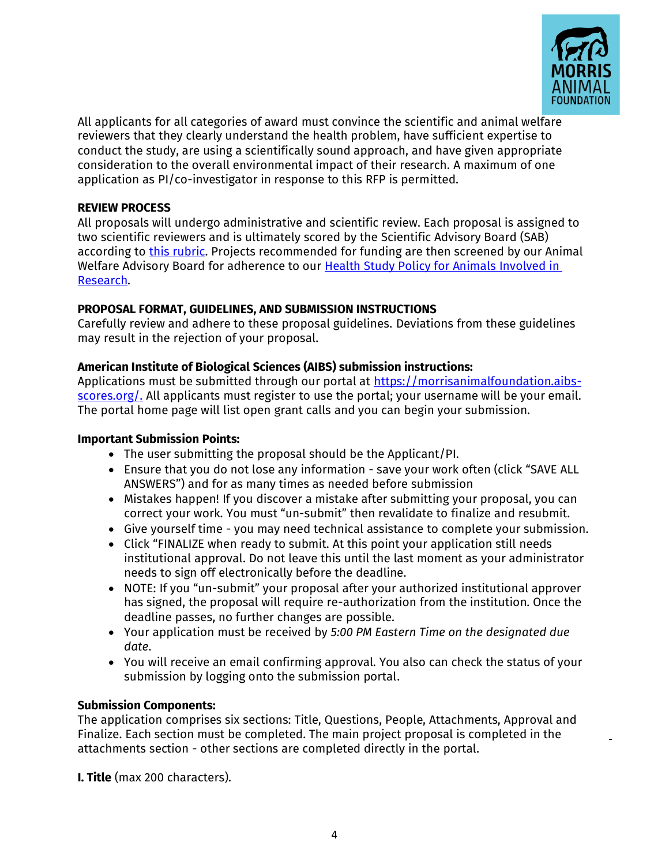

All applicants for all categories of award must convince the scientific and animal welfare reviewers that they clearly understand the health problem, have sufficient expertise to conduct the study, are using a scientifically sound approach, and have given appropriate consideration to the overall environmental impact of their research. A maximum of one application as PI/co-investigator in response to this RFP is permitted.

## **REVIEW PROCESS**

All proposals will undergo administrative and scientific review. Each proposal is assigned to two scientific reviewers and is ultimately scored by the Scientific Advisory Board (SAB) according to [this rubric.](https://www.morrisanimalfoundation.org/sites/default/files/filesync/Proposal-Scoring-Rubric.pdf) Projects recommended for funding are then screened by our Animal Welfare Advisory Board for adherence to our Health Study Policy for Animals [Involved](https://www.morrisanimalfoundation.org/sites/default/files/filesync/Health-Study-Policy.pdf) in [Research.](chrome-extension://efaidnbmnnnibpcajpcglclefindmkaj/viewer.html?pdfurl=https%3A%2F%2Fwww.morrisanimalfoundation.org%2Fsites%2Fdefault%2Ffiles%2Ffilesync%2FHealth-Study-Policy.pdf&clen=70644&chunk=true)

## **PROPOSAL FORMAT, GUIDELINES, AND SUBMISSION INSTRUCTIONS**

Carefully review and adhere to these proposal guidelines. Deviations from these guidelines may result in the rejection of your proposal.

# **American Institute of Biological Sciences (AIBS) submission instructions:**

Applications must be submitted through our portal at [https://morrisanimalfoundation.aibs](https://morrisanimalfoundation.aibs-scores.org/)[scores.org/.](https://morrisanimalfoundation.aibs-scores.org/) All applicants must register to use the portal; your username will be your email. The portal home page will list open grant calls and you can begin your submission.

#### **Important Submission Points:**

- The user submitting the proposal should be the Applicant/PI.
- Ensure that you do not lose any information save your work often (click "SAVE ALL ANSWERS") and for as many times as needed before submission
- Mistakes happen! If you discover a mistake after submitting your proposal, you can correct your work. You must "un-submit" then revalidate to finalize and resubmit.
- Give yourself time you may need technical assistance to complete your submission.
- Click "FINALIZE when ready to submit. At this point your application still needs institutional approval. Do not leave this until the last moment as your administrator needs to sign off electronically before the deadline.
- NOTE: If you "un-submit" your proposal after your authorized institutional approver has signed, the proposal will require re-authorization from the institution. Once the deadline passes, no further changes are possible.
- Your application must be received by *5:00 PM Eastern Time on the designated due date*.
- You will receive an email confirming approval. You also can check the status of your submission by logging onto the submission portal.

# **Submission Components:**

The application comprises six sections: Title, Questions, People, Attachments, Approval and Finalize. Each section must be completed. The main project proposal is completed in the attachments section - other sections are completed directly in the portal.

**I. Title** (max 200 characters).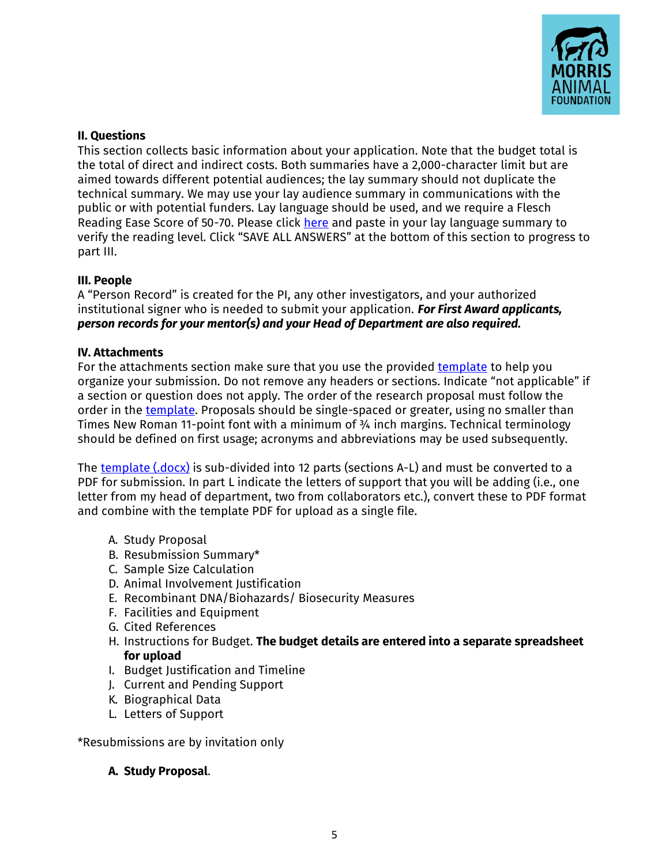

## **II. Questions**

This section collects basic information about your application. Note that the budget total is the total of direct and indirect costs. Both summaries have a 2,000-character limit but are aimed towards different potential audiences; the lay summary should not duplicate the technical summary. We may use your lay audience summary in communications with the public or with potential funders. Lay language should be used, and we require a Flesch Reading Ease Score of 50-70. Please click [here](https://www.readabilityformulas.com/free-readability-formula-tests.php) and paste in your lay language summary to verify the reading level. Click "SAVE ALL ANSWERS" at the bottom of this section to progress to part III.

## **III. People**

A "Person Record" is created for the PI, any other investigators, and your authorized institutional signer who is needed to submit your application. *For First Award applicants, person records for your mentor(s) and your Head of Department are also required.*

## **IV. Attachments**

For the attachments section make sure that you use the provided [template](https://www.morrisanimalfoundation.org/sites/default/files/filesync/AIBS-Proposal-Template.docx) to help you organize your submission. Do not remove any headers or sections. Indicate "not applicable" if a section or question does not apply. The order of the research proposal must follow the order in the [template.](https://www.morrisanimalfoundation.org/sites/default/files/filesync/AIBS-Proposal-Template.docx) Proposals should be single-spaced or greater, using no smaller than Times New Roman 11-point font with a minimum of ¾ inch margins. Technical terminology should be defined on first usage; acronyms and abbreviations may be used subsequently.

The [template \(.docx\)](https://www.morrisanimalfoundation.org/sites/default/files/filesync/AIBS-Proposal-Template.docx) is sub-divided into 12 parts (sections A-L) and must be converted to a PDF for submission. In part L indicate the letters of support that you will be adding (i.e., one letter from my head of department, two from collaborators etc.), convert these to PDF format and combine with the template PDF for upload as a single file.

- A. Study Proposal
- B. Resubmission Summary\*
- C. Sample Size Calculation
- D. Animal Involvement Justification
- E. Recombinant DNA/Biohazards/ Biosecurity Measures
- F. Facilities and Equipment
- G. Cited References
- H. Instructions for Budget. **The budget details are entered into a separate spreadsheet for upload**
- I. Budget Justification and Timeline
- J. Current and Pending Support
- K. Biographical Data
- L. Letters of Support

\*Resubmissions are by invitation only

# **A. Study Proposal**.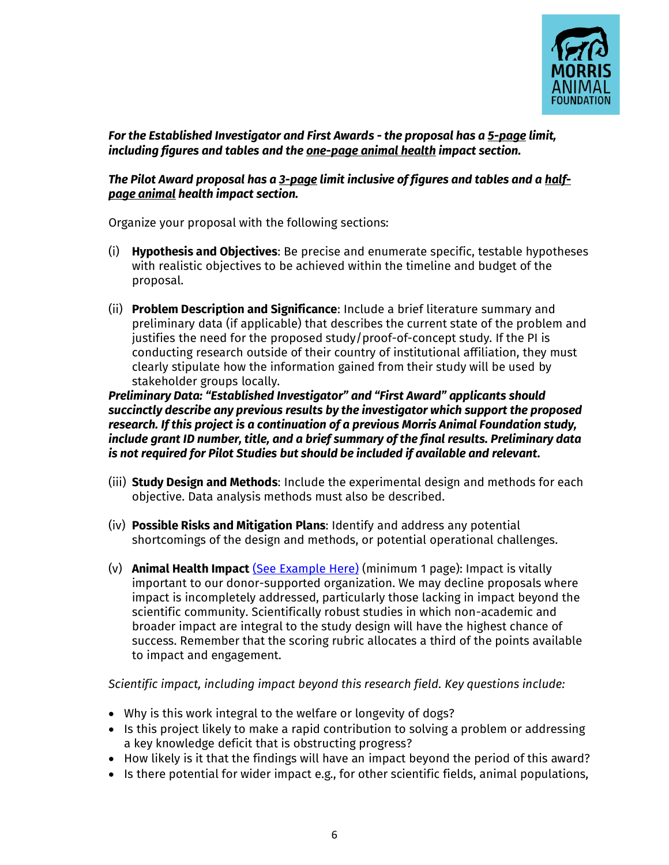

*For the Established Investigator and First Awards - the proposal has a 5-page limit, including figures and tables and the one-page animal health impact section.*

## *The Pilot Award proposal has a 3-page limit inclusive of figures and tables and a halfpage animal health impact section.*

Organize your proposal with the following sections:

- (i) **Hypothesis and Objectives**: Be precise and enumerate specific, testable hypotheses with realistic objectives to be achieved within the timeline and budget of the proposal.
- (ii) **Problem Description and Significance**: Include a brief literature summary and preliminary data (if applicable) that describes the current state of the problem and justifies the need for the proposed study/proof-of-concept study. If the PI is conducting research outside of their country of institutional affiliation, they must clearly stipulate how the information gained from their study will be used by stakeholder groups locally.

*Preliminary Data: "Established Investigator" and "First Award" applicants should succinctly describe any previous results by the investigator which support the proposed research. If this project is a continuation of a previous Morris Animal Foundation study, include grant ID number, title, and a brief summary of the final results. Preliminary data is not required for Pilot Studies but should be included if available and relevant.* 

- (iii) **Study Design and Methods**: Include the experimental design and methods for each objective. Data analysis methods must also be described.
- (iv) **Possible Risks and Mitigation Plans**: Identify and address any potential shortcomings of the design and methods, or potential operational challenges.
- (v) **Animal Health Impact** [\(See Example Here\)](https://www.morrisanimalfoundation.org/sites/default/files/filesync/Animal-Health-Impact-Statement-Example.pdf) (minimum 1 page): Impact is vitally important to our donor-supported organization. We may decline proposals where impact is incompletely addressed, particularly those lacking in impact beyond the scientific community. Scientifically robust studies in which non-academic and broader impact are integral to the study design will have the highest chance of success. Remember that the scoring rubric allocates a third of the points available to impact and engagement.

*Scientific impact, including impact beyond this research field. Key questions include:* 

- Why is this work integral to the welfare or longevity of dogs?
- Is this project likely to make a rapid contribution to solving a problem or addressing a key knowledge deficit that is obstructing progress?
- How likely is it that the findings will have an impact beyond the period of this award?
- Is there potential for wider impact e.g., for other scientific fields, animal populations,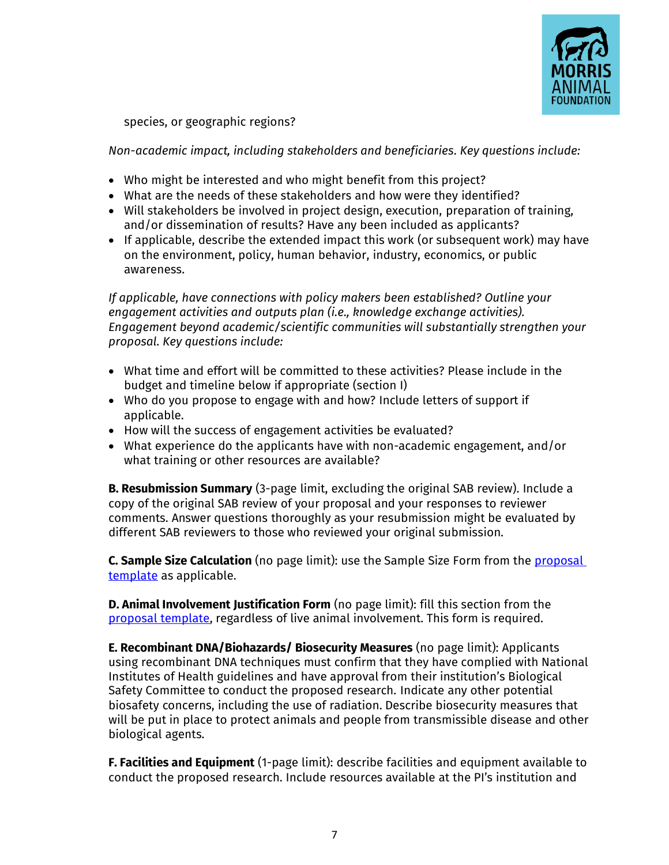

species, or geographic regions?

*Non-academic impact, including stakeholders and beneficiaries. Key questions include:* 

- Who might be interested and who might benefit from this project?
- What are the needs of these stakeholders and how were they identified?
- Will stakeholders be involved in project design, execution, preparation of training, and/or dissemination of results? Have any been included as applicants?
- If applicable, describe the extended impact this work (or subsequent work) may have on the environment, policy, human behavior, industry, economics, or public awareness.

*If applicable, have connections with policy makers been established? Outline your engagement activities and outputs plan (i.e., knowledge exchange activities). Engagement beyond academic/scientific communities will substantially strengthen your proposal. Key questions include:* 

- What time and effort will be committed to these activities? Please include in the budget and timeline below if appropriate (section I)
- Who do you propose to engage with and how? Include letters of support if applicable.
- How will the success of engagement activities be evaluated?
- What experience do the applicants have with non-academic engagement, and/or what training or other resources are available?

**B. Resubmission Summary** (3-page limit, excluding the original SAB review). Include a copy of the original SAB review of your proposal and your responses to reviewer comments. Answer questions thoroughly as your resubmission might be evaluated by different SAB reviewers to those who reviewed your original submission.

**C. Sample Size Calculation** (no page limit): use the Sample Size Form from the [proposal](https://www.morrisanimalfoundation.org/sites/default/files/filesync/AIBS-Proposal-Template.docx)  [template](https://www.morrisanimalfoundation.org/sites/default/files/filesync/AIBS-Proposal-Template.docx) as applicable.

**D. Animal Involvement Justification Form** (no page limit): fill this section from the [proposal template,](https://www.morrisanimalfoundation.org/sites/default/files/filesync/AIBS-Proposal-Template.docx) regardless of live animal involvement. This form is required.

**E. Recombinant DNA/Biohazards/ Biosecurity Measures** (no page limit): Applicants using recombinant DNA techniques must confirm that they have complied with National Institutes of Health guidelines and have approval from their institution's Biological Safety Committee to conduct the proposed research. Indicate any other potential biosafety concerns, including the use of radiation. Describe biosecurity measures that will be put in place to protect animals and people from transmissible disease and other biological agents.

**F. Facilities and Equipment** (1-page limit): describe facilities and equipment available to conduct the proposed research. Include resources available at the PI's institution and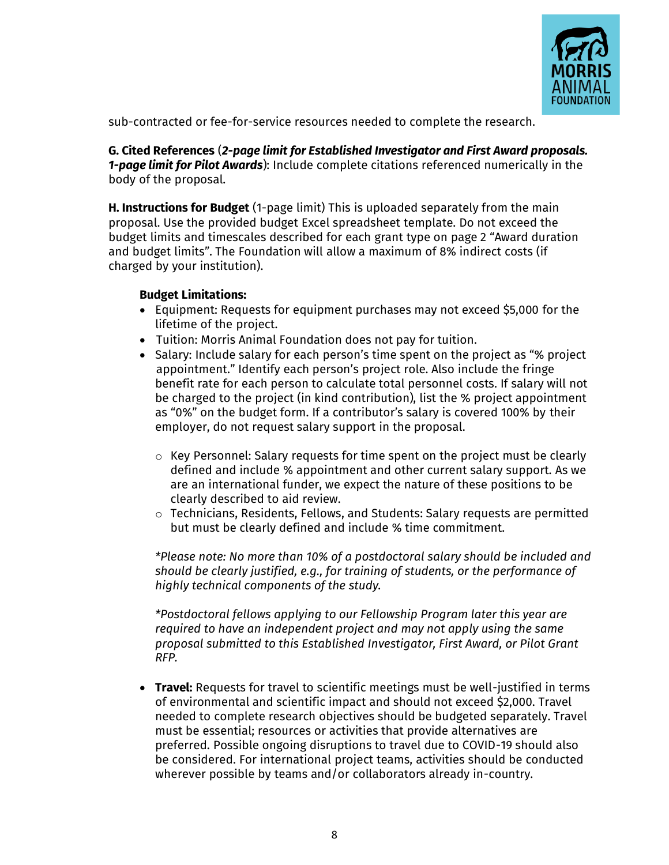

sub-contracted or fee-for-service resources needed to complete the research.

**G. Cited References** (*2-page limit for Established Investigator and First Award proposals. 1-page limit for Pilot Awards*): Include complete citations referenced numerically in the body of the proposal.

**H. Instructions for Budget** (1-page limit) This is uploaded separately from the main proposal. Use the provided budget Excel spreadsheet template. Do not exceed the budget limits and timescales described for each grant type on page 2 "Award duration and budget limits". The Foundation will allow a maximum of 8% indirect costs (if charged by your institution).

## **Budget Limitations:**

- Equipment: Requests for equipment purchases may not exceed \$5,000 for the lifetime of the project.
- Tuition: Morris Animal Foundation does not pay for tuition.
- Salary: Include salary for each person's time spent on the project as "% project appointment." Identify each person's project role. Also include the fringe benefit rate for each person to calculate total personnel costs. If salary will not be charged to the project (in kind contribution), list the % project appointment as "0%" on the budget form. If a contributor's salary is covered 100% by their employer, do not request salary support in the proposal.
	- $\circ$  Key Personnel: Salary requests for time spent on the project must be clearly defined and include % appointment and other current salary support. As we are an international funder, we expect the nature of these positions to be clearly described to aid review.
	- o Technicians, Residents, Fellows, and Students: Salary requests are permitted but must be clearly defined and include % time commitment.

*\*Please note: No more than 10% of a postdoctoral salary should be included and should be clearly justified, e.g., for training of students, or the performance of highly technical components of the study.*

*\*Postdoctoral fellows applying to our Fellowship Program later this year are required to have an independent project and may not apply using the same proposal submitted to this Established Investigator, First Award, or Pilot Grant RFP.*

• **Travel:** Requests for travel to scientific meetings must be well-justified in terms of environmental and scientific impact and should not exceed \$2,000. Travel needed to complete research objectives should be budgeted separately. Travel must be essential; resources or activities that provide alternatives are preferred. Possible ongoing disruptions to travel due to COVID-19 should also be considered. For international project teams, activities should be conducted wherever possible by teams and/or collaborators already in-country.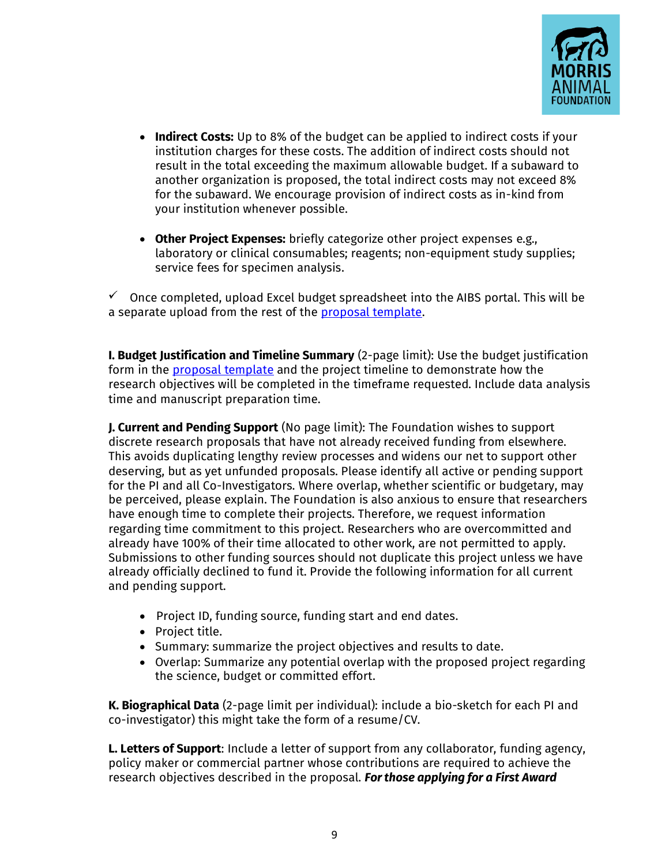

- **Indirect Costs:** Up to 8% of the budget can be applied to indirect costs if your institution charges for these costs. The addition of indirect costs should not result in the total exceeding the maximum allowable budget. If a subaward to another organization is proposed, the total indirect costs may not exceed 8% for the subaward. We encourage provision of indirect costs as in-kind from your institution whenever possible.
- **Other Project Expenses:** briefly categorize other project expenses e.g., laboratory or clinical consumables; reagents; non-equipment study supplies; service fees for specimen analysis.

 $\checkmark$  Once completed, upload Excel budget spreadsheet into the AIBS portal. This will be a separate upload from the rest of the [proposal template.](https://www.morrisanimalfoundation.org/sites/default/files/filesync/AIBS-Proposal-Template.docx)

**I. Budget Justification and Timeline Summary** (2-page limit): Use the budget justification form in the **proposal template** and the project timeline to demonstrate how the research objectives will be completed in the timeframe requested. Include data analysis time and manuscript preparation time.

**J. Current and Pending Support** (No page limit): The Foundation wishes to support discrete research proposals that have not already received funding from elsewhere. This avoids duplicating lengthy review processes and widens our net to support other deserving, but as yet unfunded proposals. Please identify all active or pending support for the PI and all Co-Investigators. Where overlap, whether scientific or budgetary, may be perceived, please explain. The Foundation is also anxious to ensure that researchers have enough time to complete their projects. Therefore, we request information regarding time commitment to this project. Researchers who are overcommitted and already have 100% of their time allocated to other work, are not permitted to apply. Submissions to other funding sources should not duplicate this project unless we have already officially declined to fund it. Provide the following information for all current and pending support.

- Project ID, funding source, funding start and end dates.
- Project title.
- Summary: summarize the project objectives and results to date.
- Overlap: Summarize any potential overlap with the proposed project regarding the science, budget or committed effort.

**K. Biographical Data** (2-page limit per individual): include a bio-sketch for each PI and co-investigator) this might take the form of a resume/CV.

**L. Letters of Support**: Include a letter of support from any collaborator, funding agency, policy maker or commercial partner whose contributions are required to achieve the research objectives described in the proposal. *For those applying for a First Award*